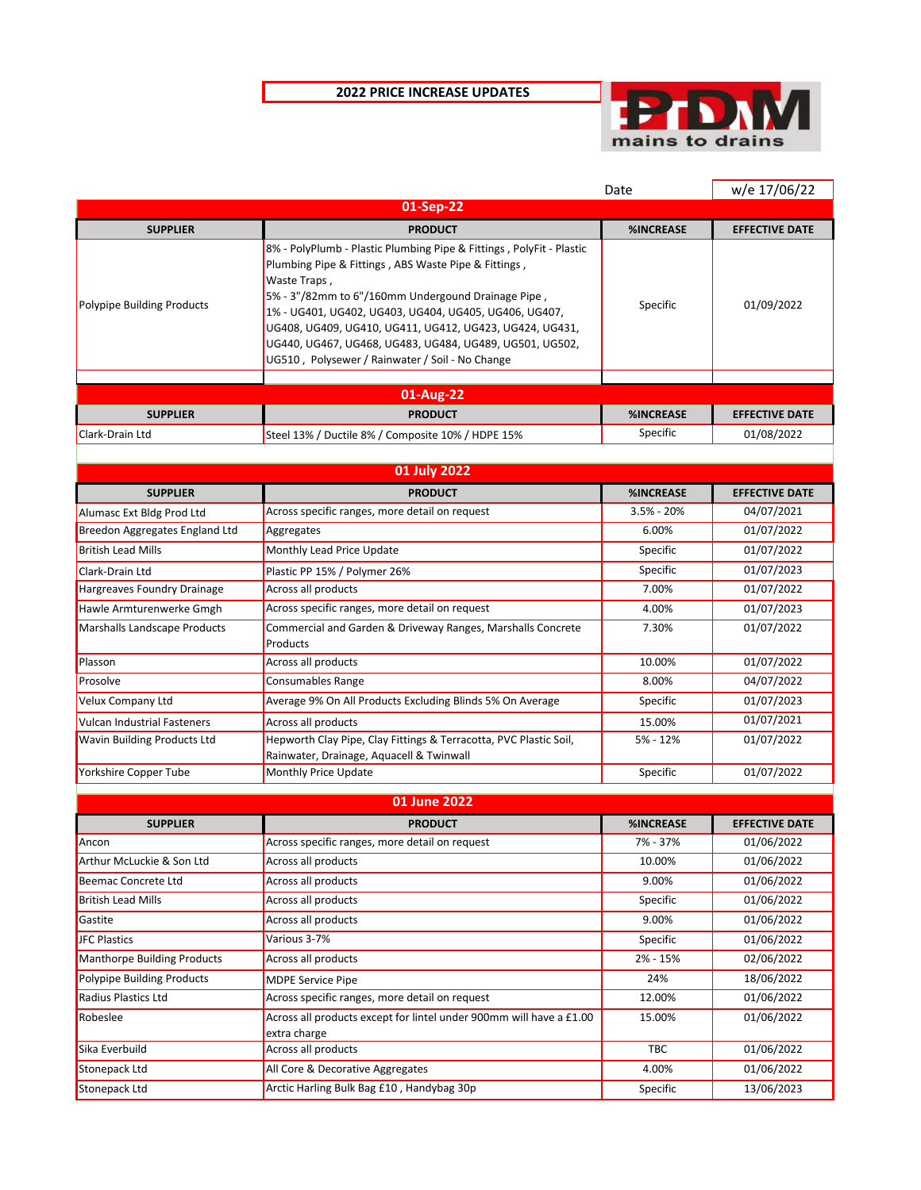## **2022 PRICE INCREASE UPDATES**



|                                                             |                                                                                                                                                                                                                                                                                                                                                                                                                                      | Date                      | w/e 17/06/22                        |
|-------------------------------------------------------------|--------------------------------------------------------------------------------------------------------------------------------------------------------------------------------------------------------------------------------------------------------------------------------------------------------------------------------------------------------------------------------------------------------------------------------------|---------------------------|-------------------------------------|
|                                                             | 01-Sep-22                                                                                                                                                                                                                                                                                                                                                                                                                            |                           |                                     |
| <b>SUPPLIER</b>                                             | <b>PRODUCT</b>                                                                                                                                                                                                                                                                                                                                                                                                                       | %INCREASE                 | <b>EFFECTIVE DATE</b>               |
| Polypipe Building Products                                  | 8% - PolyPlumb - Plastic Plumbing Pipe & Fittings, PolyFit - Plastic<br>Plumbing Pipe & Fittings, ABS Waste Pipe & Fittings,<br>Waste Traps,<br>5% - 3"/82mm to 6"/160mm Undergound Drainage Pipe,<br>1% - UG401, UG402, UG403, UG404, UG405, UG406, UG407,<br>UG408, UG409, UG410, UG411, UG412, UG423, UG424, UG431,<br>UG440, UG467, UG468, UG483, UG484, UG489, UG501, UG502,<br>UG510, Polysewer / Rainwater / Soil - No Change | Specific                  | 01/09/2022                          |
|                                                             |                                                                                                                                                                                                                                                                                                                                                                                                                                      |                           |                                     |
|                                                             | 01-Aug-22                                                                                                                                                                                                                                                                                                                                                                                                                            |                           |                                     |
| <b>SUPPLIER</b>                                             | <b>PRODUCT</b>                                                                                                                                                                                                                                                                                                                                                                                                                       | %INCREASE                 | <b>EFFECTIVE DATE</b>               |
| Clark-Drain Ltd                                             | Steel 13% / Ductile 8% / Composite 10% / HDPE 15%                                                                                                                                                                                                                                                                                                                                                                                    | Specific                  | 01/08/2022                          |
|                                                             | 01 July 2022                                                                                                                                                                                                                                                                                                                                                                                                                         |                           |                                     |
| <b>SUPPLIER</b>                                             |                                                                                                                                                                                                                                                                                                                                                                                                                                      |                           |                                     |
|                                                             | <b>PRODUCT</b><br>Across specific ranges, more detail on request                                                                                                                                                                                                                                                                                                                                                                     | %INCREASE<br>$3.5% - 20%$ | <b>EFFECTIVE DATE</b><br>04/07/2021 |
| Alumasc Ext Bldg Prod Ltd<br>Breedon Aggregates England Ltd | Aggregates                                                                                                                                                                                                                                                                                                                                                                                                                           | 6.00%                     | 01/07/2022                          |
| <b>British Lead Mills</b>                                   | Monthly Lead Price Update                                                                                                                                                                                                                                                                                                                                                                                                            | Specific                  | 01/07/2022                          |
| Clark-Drain Ltd                                             | Plastic PP 15% / Polymer 26%                                                                                                                                                                                                                                                                                                                                                                                                         | Specific                  | 01/07/2023                          |
| Hargreaves Foundry Drainage                                 | Across all products                                                                                                                                                                                                                                                                                                                                                                                                                  | 7.00%                     | 01/07/2022                          |
| Hawle Armturenwerke Gmgh                                    | Across specific ranges, more detail on request                                                                                                                                                                                                                                                                                                                                                                                       | 4.00%                     | 01/07/2023                          |
| Marshalls Landscape Products                                | Commercial and Garden & Driveway Ranges, Marshalls Concrete                                                                                                                                                                                                                                                                                                                                                                          | 7.30%                     | 01/07/2022                          |
|                                                             | Products                                                                                                                                                                                                                                                                                                                                                                                                                             |                           |                                     |
| Plasson                                                     | Across all products                                                                                                                                                                                                                                                                                                                                                                                                                  | 10.00%                    | 01/07/2022                          |
| Prosolve                                                    | Consumables Range                                                                                                                                                                                                                                                                                                                                                                                                                    | 8.00%                     | 04/07/2022                          |
| Velux Company Ltd                                           | Average 9% On All Products Excluding Blinds 5% On Average                                                                                                                                                                                                                                                                                                                                                                            | Specific                  | 01/07/2023                          |
| Vulcan Industrial Fasteners                                 | Across all products                                                                                                                                                                                                                                                                                                                                                                                                                  | 15.00%                    | 01/07/2021                          |
| <b>Wavin Building Products Ltd</b>                          | Hepworth Clay Pipe, Clay Fittings & Terracotta, PVC Plastic Soil,                                                                                                                                                                                                                                                                                                                                                                    | 5% - 12%                  | 01/07/2022                          |
|                                                             | Rainwater, Drainage, Aquacell & Twinwall                                                                                                                                                                                                                                                                                                                                                                                             |                           |                                     |
| Yorkshire Copper Tube                                       | Monthly Price Update                                                                                                                                                                                                                                                                                                                                                                                                                 | Specific                  | 01/07/2022                          |
|                                                             | 01 June 2022                                                                                                                                                                                                                                                                                                                                                                                                                         |                           |                                     |
| <b>SUPPLIER</b>                                             | <b>PRODUCT</b>                                                                                                                                                                                                                                                                                                                                                                                                                       | %INCREASE                 | <b>EFFECTIVE DATE</b>               |
| Ancon                                                       | Across specific ranges, more detail on request                                                                                                                                                                                                                                                                                                                                                                                       | 7% - 37%                  | 01/06/2022                          |
| Arthur McLuckie & Son Ltd                                   | Across all products                                                                                                                                                                                                                                                                                                                                                                                                                  | 10.00%                    | $\overline{01}/06/2022$             |
| Beemac Concrete Ltd                                         | Across all products                                                                                                                                                                                                                                                                                                                                                                                                                  | 9.00%                     | 01/06/2022                          |
| <b>British Lead Mills</b>                                   | Across all products                                                                                                                                                                                                                                                                                                                                                                                                                  | Specific                  | 01/06/2022                          |
| Gastite                                                     | Across all products                                                                                                                                                                                                                                                                                                                                                                                                                  | 9.00%                     | 01/06/2022                          |
| <b>JFC Plastics</b>                                         | Various 3-7%                                                                                                                                                                                                                                                                                                                                                                                                                         | Specific                  | 01/06/2022                          |
| <b>Manthorpe Building Products</b>                          | Across all products                                                                                                                                                                                                                                                                                                                                                                                                                  | 2% - 15%                  | 02/06/2022                          |
| <b>Polypipe Building Products</b>                           | <b>MDPE Service Pipe</b>                                                                                                                                                                                                                                                                                                                                                                                                             | 24%                       | 18/06/2022                          |
| Radius Plastics Ltd                                         | Across specific ranges, more detail on request                                                                                                                                                                                                                                                                                                                                                                                       | 12.00%                    | 01/06/2022                          |
| Robeslee                                                    | Across all products except for lintel under 900mm will have a £1.00                                                                                                                                                                                                                                                                                                                                                                  | 15.00%                    | 01/06/2022                          |
| Sika Everbuild                                              | extra charge<br>Across all products                                                                                                                                                                                                                                                                                                                                                                                                  | TBC                       | 01/06/2022                          |
| Stonepack Ltd                                               | All Core & Decorative Aggregates                                                                                                                                                                                                                                                                                                                                                                                                     | 4.00%                     | 01/06/2022                          |
| <b>Stonepack Ltd</b>                                        | Arctic Harling Bulk Bag £10, Handybag 30p                                                                                                                                                                                                                                                                                                                                                                                            | Specific                  | 13/06/2023                          |
|                                                             |                                                                                                                                                                                                                                                                                                                                                                                                                                      |                           |                                     |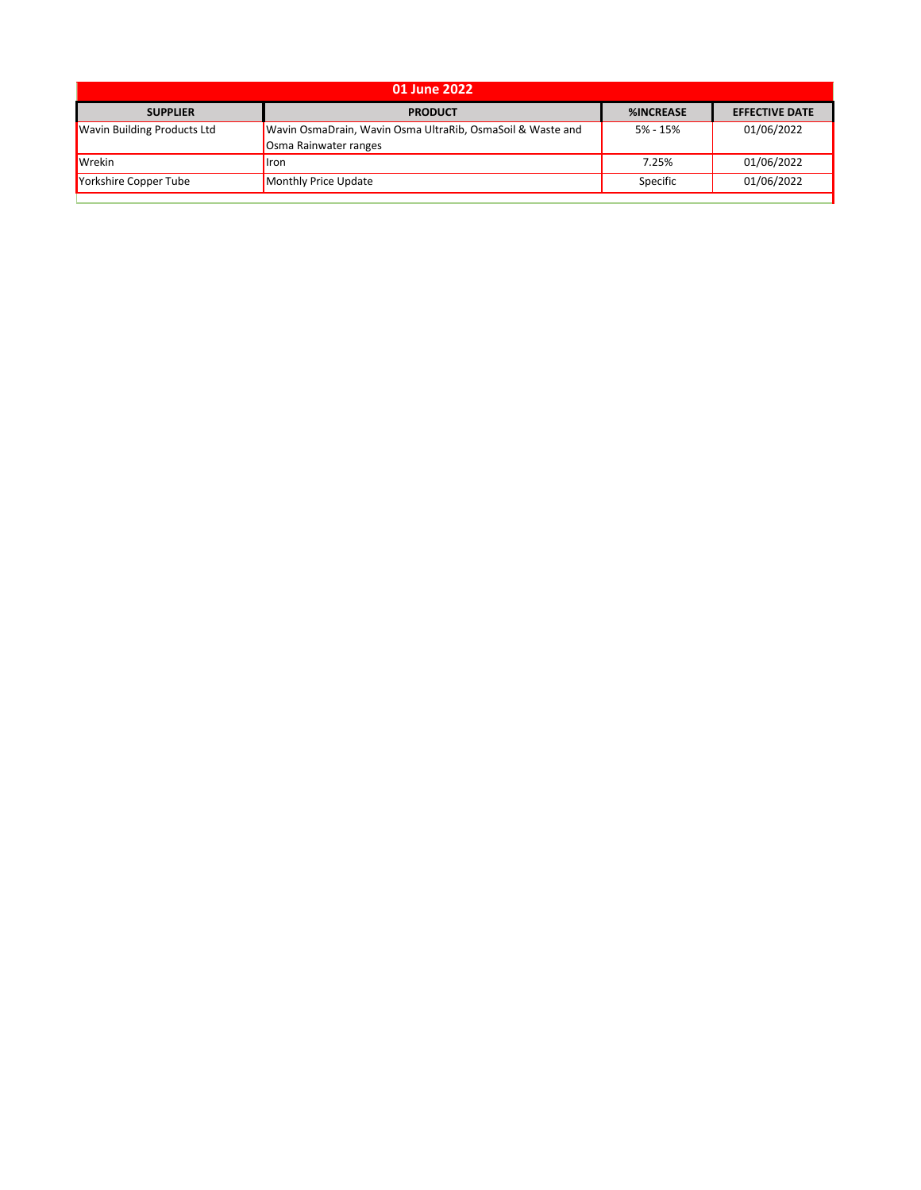| 01 June 2022                       |                                                                                     |                  |                       |  |
|------------------------------------|-------------------------------------------------------------------------------------|------------------|-----------------------|--|
| <b>SUPPLIER</b>                    | <b>PRODUCT</b>                                                                      | <b>%INCREASE</b> | <b>EFFECTIVE DATE</b> |  |
| <b>Wavin Building Products Ltd</b> | Wavin OsmaDrain, Wavin Osma UltraRib, OsmaSoil & Waste and<br>Osma Rainwater ranges | 5% - 15%         | 01/06/2022            |  |
| <b>Wrekin</b>                      | l <sub>l</sub> ron                                                                  | 7.25%            | 01/06/2022            |  |
| Yorkshire Copper Tube              | Monthly Price Update                                                                | Specific         | 01/06/2022            |  |